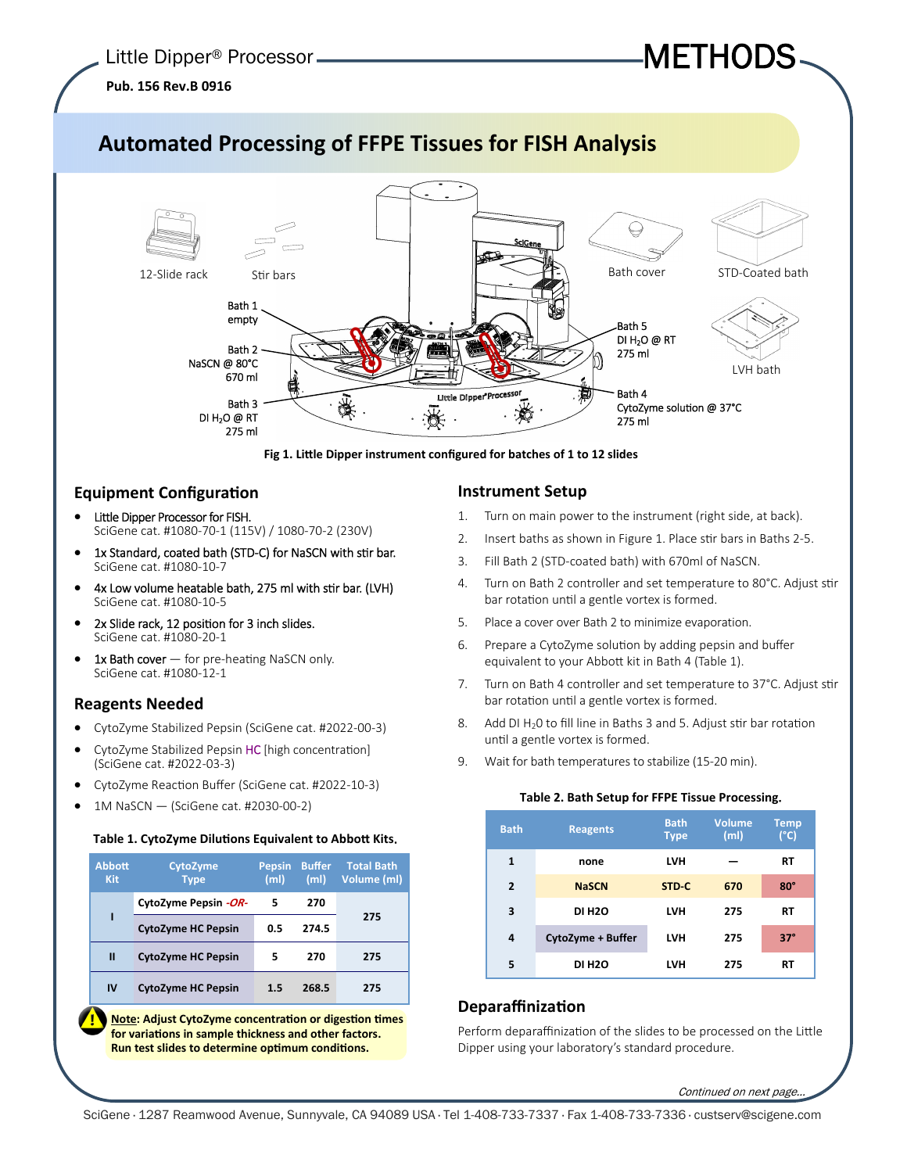# METHODS

**Pub. 156 Rev.B 0916** 

# **Automated Processing of FFPE Tissues for FISH Analysis**



**Fig 1. LiƩle Dipper instrument configured for batches of 1 to 12 slides**

# **Equipment Configuration**

- Little Dipper Processor for FISH. SciGene cat. #1080-70-1 (115V) / 1080-70-2 (230V)
- 1x Standard, coated bath (STD-C) for NaSCN with stir bar. SciGene cat. #1080-10-7
- 4x Low volume heatable bath, 275 ml with stir bar. (LVH) SciGene cat. #1080-10-5
- 2x Slide rack, 12 position for 3 inch slides. SciGene cat. #1080-20-1
- $1x$  Bath cover  $-$  for pre-heating NaSCN only. SciGene cat. #1080-12-1

# **Reagents Needed**

- CytoZyme Stabilized Pepsin (SciGene cat. #2022-00-3)
- CytoZyme Stabilized Pepsin HC [high concentration] (SciGene cat. #2022-03-3)
- CytoZyme Reaction Buffer (SciGene cat. #2022-10-3)
- 1M NaSCN (SciGene cat. #2030-00-2)

### **Table 1. CytoZyme DiluƟons Equivalent to AbboƩ Kits**.

| <b>Abbott</b><br><b>Kit</b> | CytoZyme<br><b>Type</b>   | <b>Pepsin</b><br>(m <sub>l</sub> ) | <b>Buffer</b><br>(m <sub>l</sub> ) | <b>Total Bath</b><br>Volume (ml) |  |
|-----------------------------|---------------------------|------------------------------------|------------------------------------|----------------------------------|--|
|                             | CytoZyme Pepsin -OR-      | 5                                  | 270                                | 275                              |  |
|                             | <b>CytoZyme HC Pepsin</b> | 0.5                                | 274.5                              |                                  |  |
| Ш                           | <b>CytoZyme HC Pepsin</b> | 5                                  | 270                                | 275                              |  |
| IV                          | <b>CytoZyme HC Pepsin</b> | 1.5                                | 268.5                              | 275                              |  |

**Note: Adjust CytoZyme concentration or digestion times for variaƟons in sample thickness and other factors. Run test slides to determine optimum conditions.** 

# **Instrument Setup**

- 1. Turn on main power to the instrument (right side, at back).
- 2. Insert baths as shown in Figure 1. Place stir bars in Baths 2-5.
- 3. Fill Bath 2 (STD-coated bath) with 670ml of NaSCN.
- 4. Turn on Bath 2 controller and set temperature to 80°C. Adjust stir bar rotation until a gentle vortex is formed.
- 5. Place a cover over Bath 2 to minimize evaporation.
- 6. Prepare a CytoZyme solution by adding pepsin and buffer equivalent to your Abbott kit in Bath 4 (Table 1).
- 7. Turn on Bath 4 controller and set temperature to 37°C. Adjust stir bar rotation until a gentle vortex is formed.
- 8. Add DI  $H_2$ 0 to fill line in Baths 3 and 5. Adjust stir bar rotation until a gentle vortex is formed.
- 9. Wait for bath temperatures to stabilize (15-20 min).

#### **Table 2. Bath Setup for FFPE Tissue Processing**.

| <b>Bath</b>    | <b>Reagents</b>   | <b>Bath</b><br><b>Type</b> | <b>Volume</b><br>(m <sub>l</sub> ) | Temp<br>(°C) |
|----------------|-------------------|----------------------------|------------------------------------|--------------|
| 1              | none              | <b>LVH</b>                 |                                    | <b>RT</b>    |
| $\overline{2}$ | <b>NaSCN</b>      | STD <sub>C</sub>           | 670                                | $80^\circ$   |
| 3              | <b>DI H2O</b>     | <b>LVH</b>                 | 275                                | <b>RT</b>    |
| 4              | CytoZyme + Buffer | <b>LVH</b>                 | 275                                | $37^\circ$   |
| 5              | <b>DI H2O</b>     | LVH                        | 275                                | RT           |

# **DeparaffinizaƟon**

Perform deparaffinization of the slides to be processed on the Little Dipper using your laboratory's standard procedure.

Continued on next page.